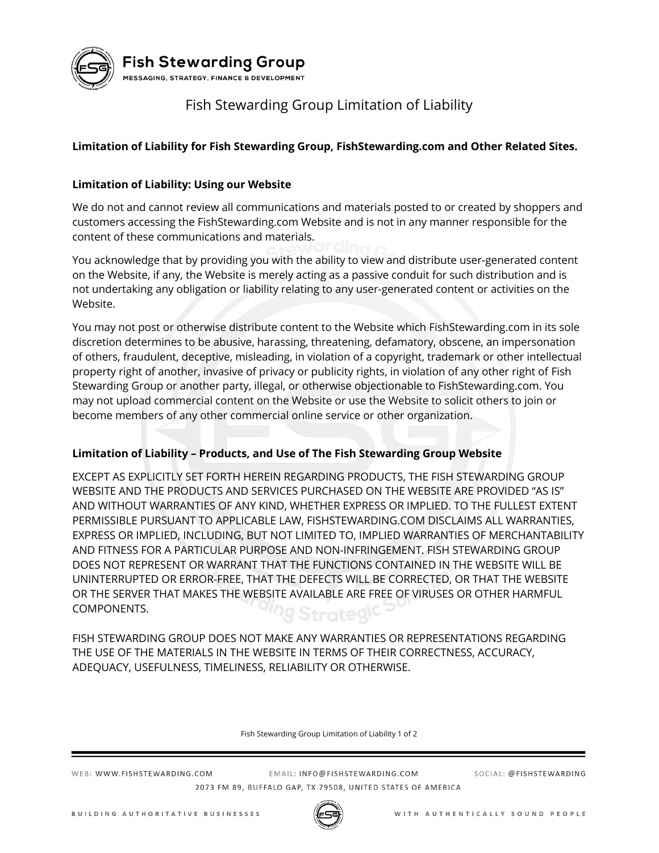

**Fish Stewarding Group** 

MESSAGING, STRATEGY, FINANCE & DEVELOPMENT

# Fish Stewarding Group Limitation of Liability

## **Limitation of Liability for Fish Stewarding Group, FishStewarding.com and Other Related Sites.**

## **Limitation of Liability: Using our Website**

We do not and cannot review all communications and materials posted to or created by shoppers and customers accessing the FishStewarding.com Website and is not in any manner responsible for the content of these communications and materials.

You acknowledge that by providing you with the ability to view and distribute user-generated content on the Website, if any, the Website is merely acting as a passive conduit for such distribution and is not undertaking any obligation or liability relating to any user-generated content or activities on the Website.

You may not post or otherwise distribute content to the Website which FishStewarding.com in its sole discretion determines to be abusive, harassing, threatening, defamatory, obscene, an impersonation of others, fraudulent, deceptive, misleading, in violation of a copyright, trademark or other intellectual property right of another, invasive of privacy or publicity rights, in violation of any other right of Fish Stewarding Group or another party, illegal, or otherwise objectionable to FishStewarding.com. You may not upload commercial content on the Website or use the Website to solicit others to join or become members of any other commercial online service or other organization.

#### **Limitation of Liability – Products, and Use of The Fish Stewarding Group Website**

EXCEPT AS EXPLICITLY SET FORTH HEREIN REGARDING PRODUCTS, THE FISH STEWARDING GROUP WEBSITE AND THE PRODUCTS AND SERVICES PURCHASED ON THE WEBSITE ARE PROVIDED "AS IS" AND WITHOUT WARRANTIES OF ANY KIND, WHETHER EXPRESS OR IMPLIED. TO THE FULLEST EXTENT PERMISSIBLE PURSUANT TO APPLICABLE LAW, FISHSTEWARDING.COM DISCLAIMS ALL WARRANTIES, EXPRESS OR IMPLIED, INCLUDING, BUT NOT LIMITED TO, IMPLIED WARRANTIES OF MERCHANTABILITY AND FITNESS FOR A PARTICULAR PURPOSE AND NON-INFRINGEMENT. FISH STEWARDING GROUP DOES NOT REPRESENT OR WARRANT THAT THE FUNCTIONS CONTAINED IN THE WEBSITE WILL BE UNINTERRUPTED OR ERROR-FREE, THAT THE DEFECTS WILL BE CORRECTED, OR THAT THE WEBSITE OR THE SERVER THAT MAKES THE WEBSITE AVAILABLE ARE FREE OF VIRUSES OR OTHER HARMFUL COMPONENTS.

FISH STEWARDING GROUP DOES NOT MAKE ANY WARRANTIES OR REPRESENTATIONS REGARDING THE USE OF THE MATERIALS IN THE WEBSITE IN TERMS OF THEIR CORRECTNESS, ACCURACY, ADEQUACY, USEFULNESS, TIMELINESS, RELIABILITY OR OTHERWISE.

Fish Stewarding Group Limitation of Liability 1 of 2

WEB: WWW.FISHSTEWARDING.COM

EMAIL: INFO@FISHSTEWARDING.COM 2073 FM 89, BUFFALO GAP, TX 79508, UNITED STATES OF AMERICA SOCIAL: @FISHSTEWARDING